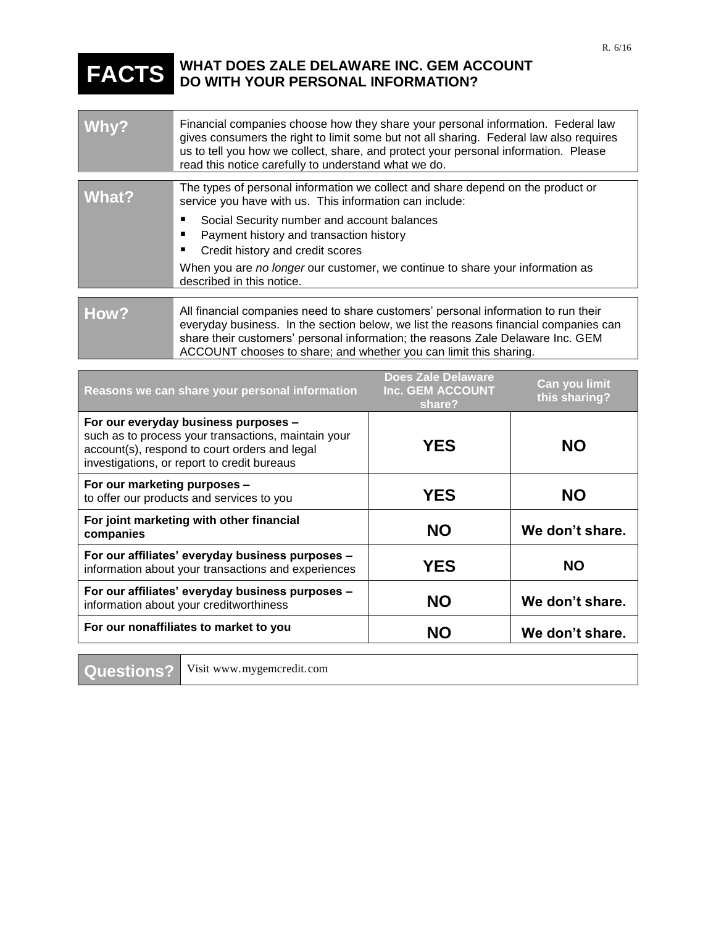## **FACTS WHAT DOES ZALE DELAWARE INC. GEM ACCOUNT DO WITH YOUR PERSONAL INFORMATION?**

| Why?  | Financial companies choose how they share your personal information. Federal law<br>gives consumers the right to limit some but not all sharing. Federal law also requires<br>us to tell you how we collect, share, and protect your personal information. Please<br>read this notice carefully to understand what we do.          |
|-------|------------------------------------------------------------------------------------------------------------------------------------------------------------------------------------------------------------------------------------------------------------------------------------------------------------------------------------|
|       |                                                                                                                                                                                                                                                                                                                                    |
| What? | The types of personal information we collect and share depend on the product or<br>service you have with us. This information can include:                                                                                                                                                                                         |
|       | Social Security number and account balances                                                                                                                                                                                                                                                                                        |
|       | Payment history and transaction history                                                                                                                                                                                                                                                                                            |
|       |                                                                                                                                                                                                                                                                                                                                    |
|       | Credit history and credit scores<br>п                                                                                                                                                                                                                                                                                              |
|       | When you are no longer our customer, we continue to share your information as<br>described in this notice.                                                                                                                                                                                                                         |
|       |                                                                                                                                                                                                                                                                                                                                    |
| How?  | All financial companies need to share customers' personal information to run their<br>everyday business. In the section below, we list the reasons financial companies can<br>share their customers' personal information; the reasons Zale Delaware Inc. GEM<br>ACCOUNT chooses to share; and whether you can limit this sharing. |

| Reasons we can share your personal information                                                                                                                                              | <b>Does Zale Delaware</b><br>Inc. GEM ACCOUNT<br>share? | <b>Can you limit</b><br>this sharing? |
|---------------------------------------------------------------------------------------------------------------------------------------------------------------------------------------------|---------------------------------------------------------|---------------------------------------|
| For our everyday business purposes -<br>such as to process your transactions, maintain your<br>account(s), respond to court orders and legal<br>investigations, or report to credit bureaus | <b>YES</b>                                              | <b>NO</b>                             |
| For our marketing purposes -<br>to offer our products and services to you                                                                                                                   | <b>YES</b>                                              | <b>NO</b>                             |
| For joint marketing with other financial<br>companies                                                                                                                                       | <b>NO</b>                                               | We don't share.                       |
| For our affiliates' everyday business purposes -<br>information about your transactions and experiences                                                                                     | <b>YES</b>                                              | <b>NO</b>                             |
| For our affiliates' everyday business purposes -<br>information about your creditworthiness                                                                                                 | <b>NO</b>                                               | We don't share.                       |
| For our nonaffiliates to market to you                                                                                                                                                      | <b>NO</b>                                               | We don't share.                       |

**Questions?** Visit www.mygemcredit.com